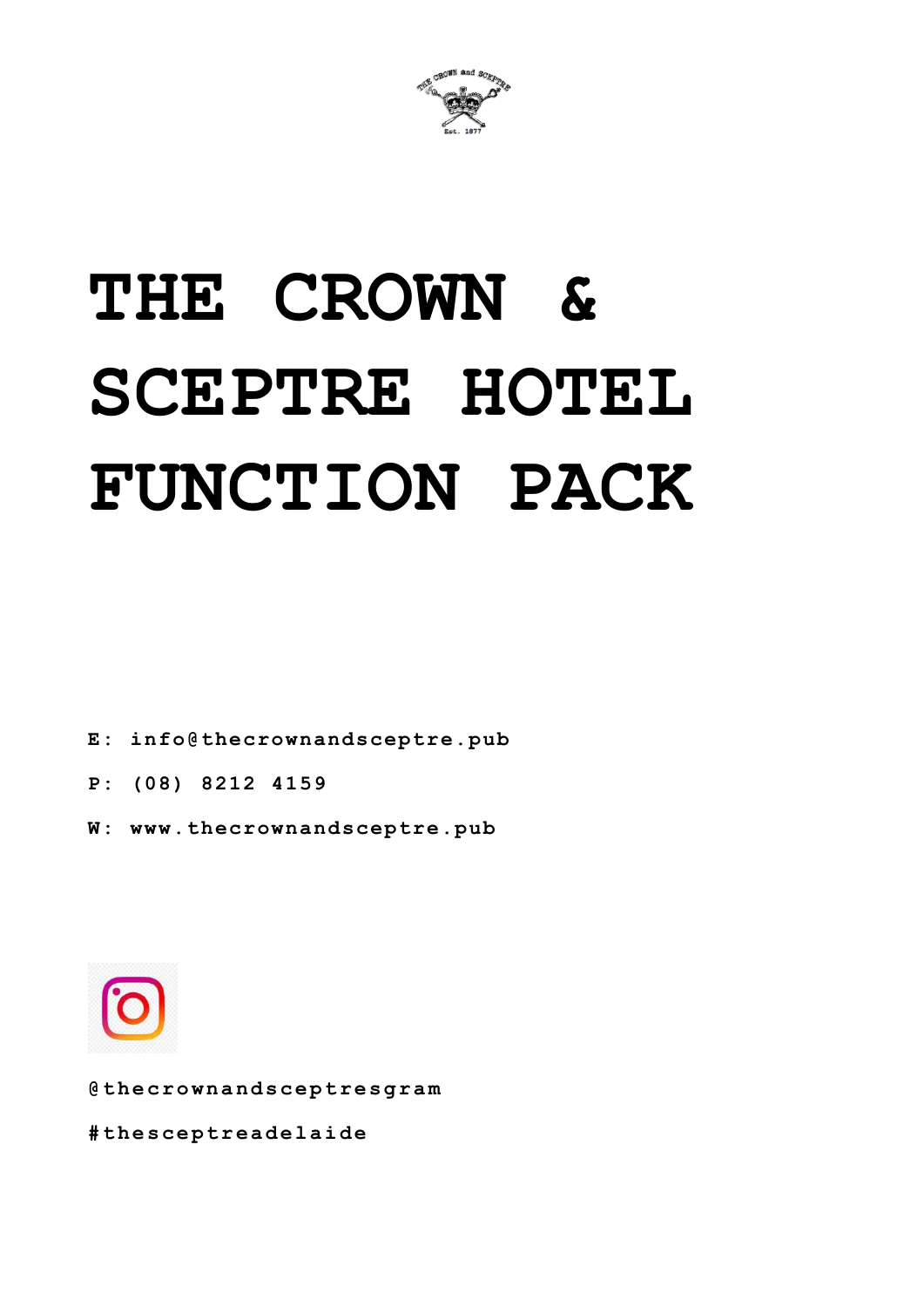

# **THE CROWN & SCEPTRE HOTEL FUNCTION PACK**

**E: info@thecrownandsceptre.pub**

- **P: (08) 8212 4159**
- **W: www.thecrownandsceptre.pub**



**@ t h e c r o w n a n d s c e p t r e s g r a m**

**# t h e s c e p t r e a d e l a i d e**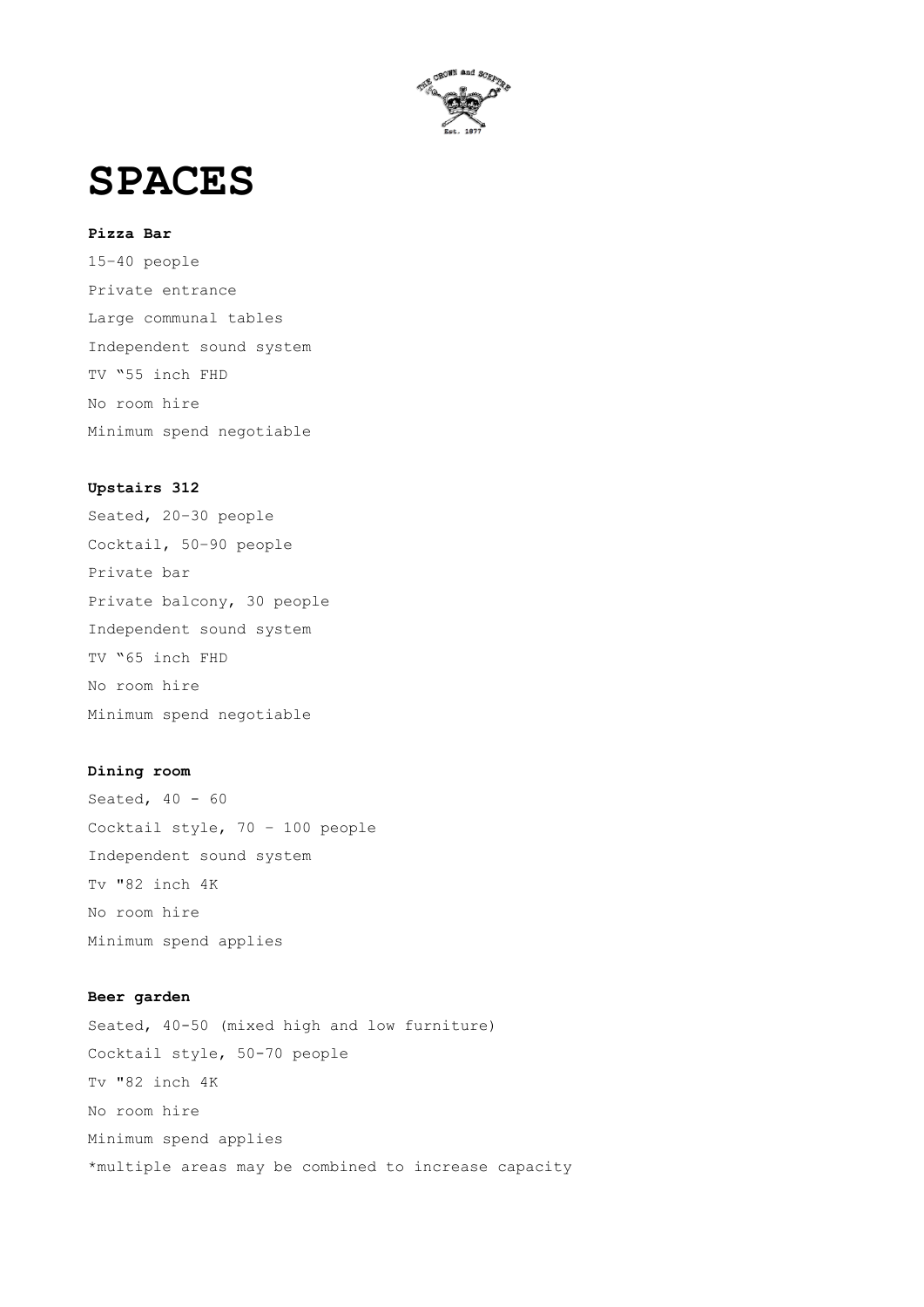

**SPACES**

#### **Pizza Bar**

15–40 people Private entrance Large communal tables Independent sound system TV "55 inch FHD No room hire Minimum spend negotiable

#### **Upstairs 312**

Seated, 20–30 people Cocktail, 50–90 people Private bar Private balcony, 30 people Independent sound system TV "65 inch FHD No room hire Minimum spend negotiable

#### **Dining room**

Seated, 40 - 60 Cocktail style, 70 – 100 people Independent sound system Tv "82 inch 4K No room hire Minimum spend applies

#### **Beer garden**

Seated, 40-50 (mixed high and low furniture) Cocktail style, 50-70 people Tv "82 inch 4K No room hire Minimum spend applies \*multiple areas may be combined to increase capacity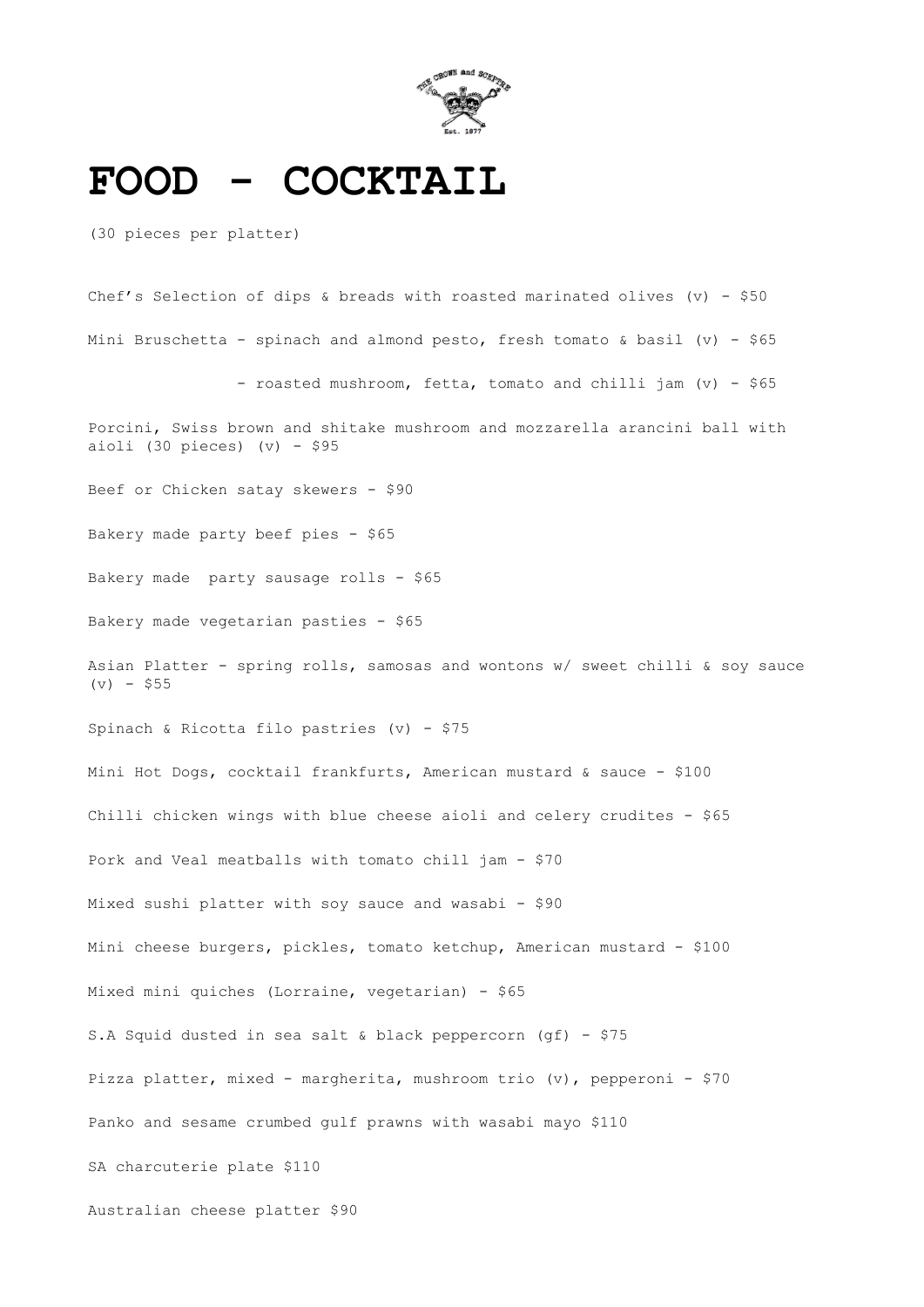

### **FOOD - COCKTAIL**

(30 pieces per platter)

Chef's Selection of dips & breads with roasted marinated olives (v) - \$50 Mini Bruschetta - spinach and almond pesto, fresh tomato & basil (v) - \$65 - roasted mushroom, fetta, tomato and chilli jam (v) - \$65 Porcini, Swiss brown and shitake mushroom and mozzarella arancini ball with aioli (30 pieces)  $(v)$  - \$95 Beef or Chicken satay skewers - \$90 Bakery made party beef pies - \$65 Bakery made party sausage rolls - \$65 Bakery made vegetarian pasties - \$65 Asian Platter - spring rolls, samosas and wontons w/ sweet chilli & soy sauce  $(v) - $55$ Spinach & Ricotta filo pastries (v) - \$75 Mini Hot Dogs, cocktail frankfurts, American mustard & sauce - \$100 Chilli chicken wings with blue cheese aioli and celery crudites - \$65 Pork and Veal meatballs with tomato chill jam - \$70 Mixed sushi platter with soy sauce and wasabi - \$90 Mini cheese burgers, pickles, tomato ketchup, American mustard - \$100 Mixed mini quiches (Lorraine, vegetarian) - \$65 S.A Squid dusted in sea salt & black peppercorn (gf) - \$75

Pizza platter, mixed - margherita, mushroom trio (v), pepperoni - \$70

Panko and sesame crumbed gulf prawns with wasabi mayo \$110

SA charcuterie plate \$110

Australian cheese platter \$90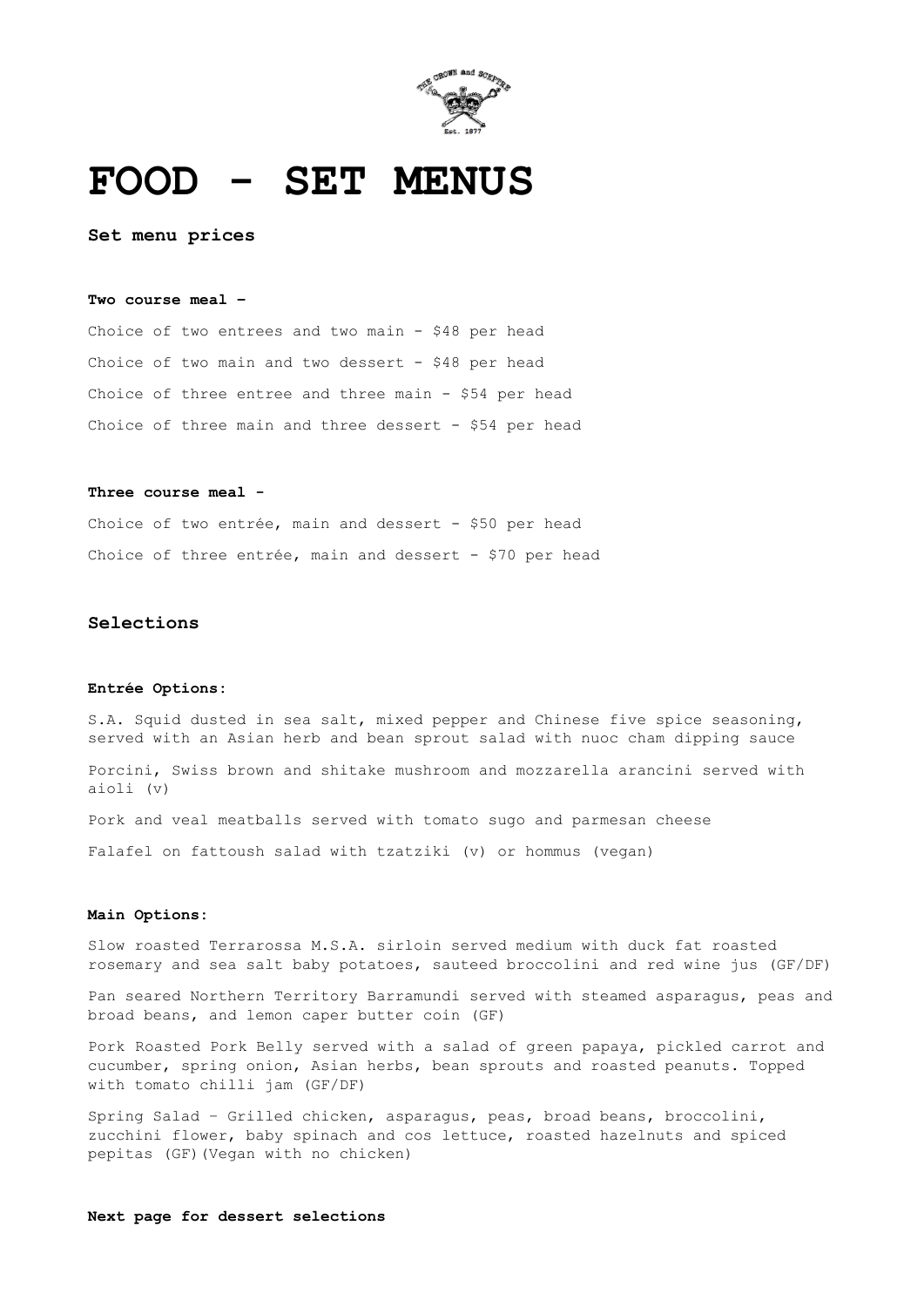

### **FOOD - SET MENUS**

**Set menu prices**

#### **Two course meal –**

Choice of two entrees and two main - \$48 per head Choice of two main and two dessert - \$48 per head Choice of three entree and three main - \$54 per head Choice of three main and three dessert - \$54 per head

#### **Three course meal -**

Choice of two entrée, main and dessert - \$50 per head Choice of three entrée, main and dessert - \$70 per head

#### **Selections**

#### **Entrée Options:**

S.A. Squid dusted in sea salt, mixed pepper and Chinese five spice seasoning, served with an Asian herb and bean sprout salad with nuoc cham dipping sauce

Porcini, Swiss brown and shitake mushroom and mozzarella arancini served with aioli (v)

Pork and veal meatballs served with tomato sugo and parmesan cheese

Falafel on fattoush salad with tzatziki (v) or hommus (vegan)

#### **Main Options:**

Slow roasted Terrarossa M.S.A. sirloin served medium with duck fat roasted rosemary and sea salt baby potatoes, sauteed broccolini and red wine jus (GF/DF)

Pan seared Northern Territory Barramundi served with steamed asparagus, peas and broad beans, and lemon caper butter coin (GF)

Pork Roasted Pork Belly served with a salad of green papaya, pickled carrot and cucumber, spring onion, Asian herbs, bean sprouts and roasted peanuts. Topped with tomato chilli jam (GF/DF)

Spring Salad – Grilled chicken, asparagus, peas, broad beans, broccolini, zucchini flower, baby spinach and cos lettuce, roasted hazelnuts and spiced pepitas (GF)(Vegan with no chicken)

#### **Next page for dessert selections**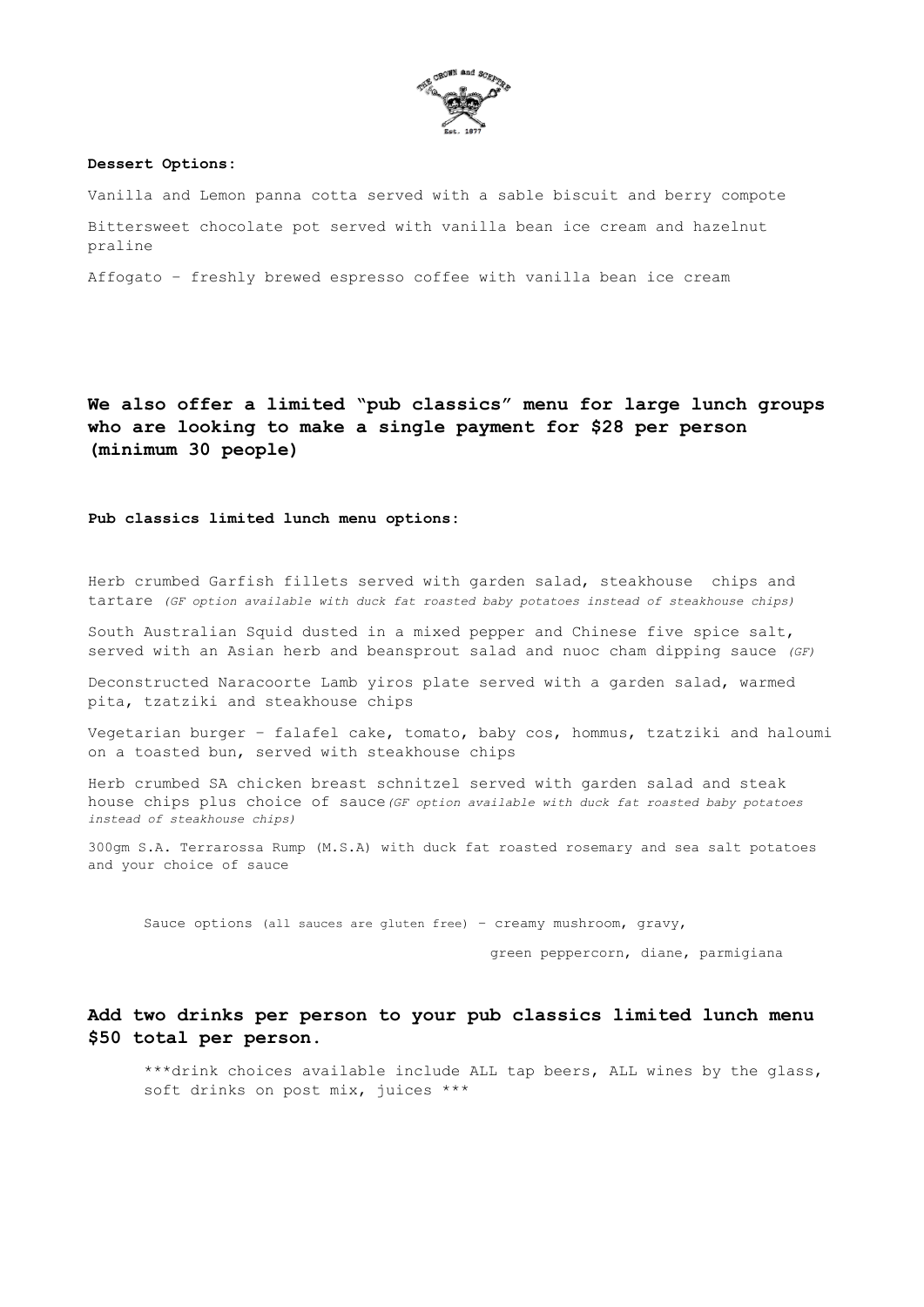

#### **Dessert Options:**

Vanilla and Lemon panna cotta served with a sable biscuit and berry compote Bittersweet chocolate pot served with vanilla bean ice cream and hazelnut praline

Affogato – freshly brewed espresso coffee with vanilla bean ice cream

**We also offer a limited "pub classics" menu for large lunch groups who are looking to make a single payment for \$28 per person (minimum 30 people)**

**Pub classics limited lunch menu options:**

Herb crumbed Garfish fillets served with garden salad, steakhouse chips and tartare *(GF option available with duck fat roasted baby potatoes instead of steakhouse chips)*

South Australian Squid dusted in a mixed pepper and Chinese five spice salt, served with an Asian herb and beansprout salad and nuoc cham dipping sauce *(GF)*

Deconstructed Naracoorte Lamb yiros plate served with a garden salad, warmed pita, tzatziki and steakhouse chips

Vegetarian burger – falafel cake, tomato, baby cos, hommus, tzatziki and haloumi on a toasted bun, served with steakhouse chips

Herb crumbed SA chicken breast schnitzel served with garden salad and steak house chips plus choice of sauce*(GF option available with duck fat roasted baby potatoes instead of steakhouse chips)*

300gm S.A. Terrarossa Rump (M.S.A) with duck fat roasted rosemary and sea salt potatoes and your choice of sauce

Sauce options (all sauces are gluten free) – creamy mushroom, gravy,

green peppercorn, diane, parmigiana

#### **Add two drinks per person to your pub classics limited lunch menu \$50 total per person.**

\*\*\*drink choices available include ALL tap beers, ALL wines by the glass, soft drinks on post mix, juices \*\*\*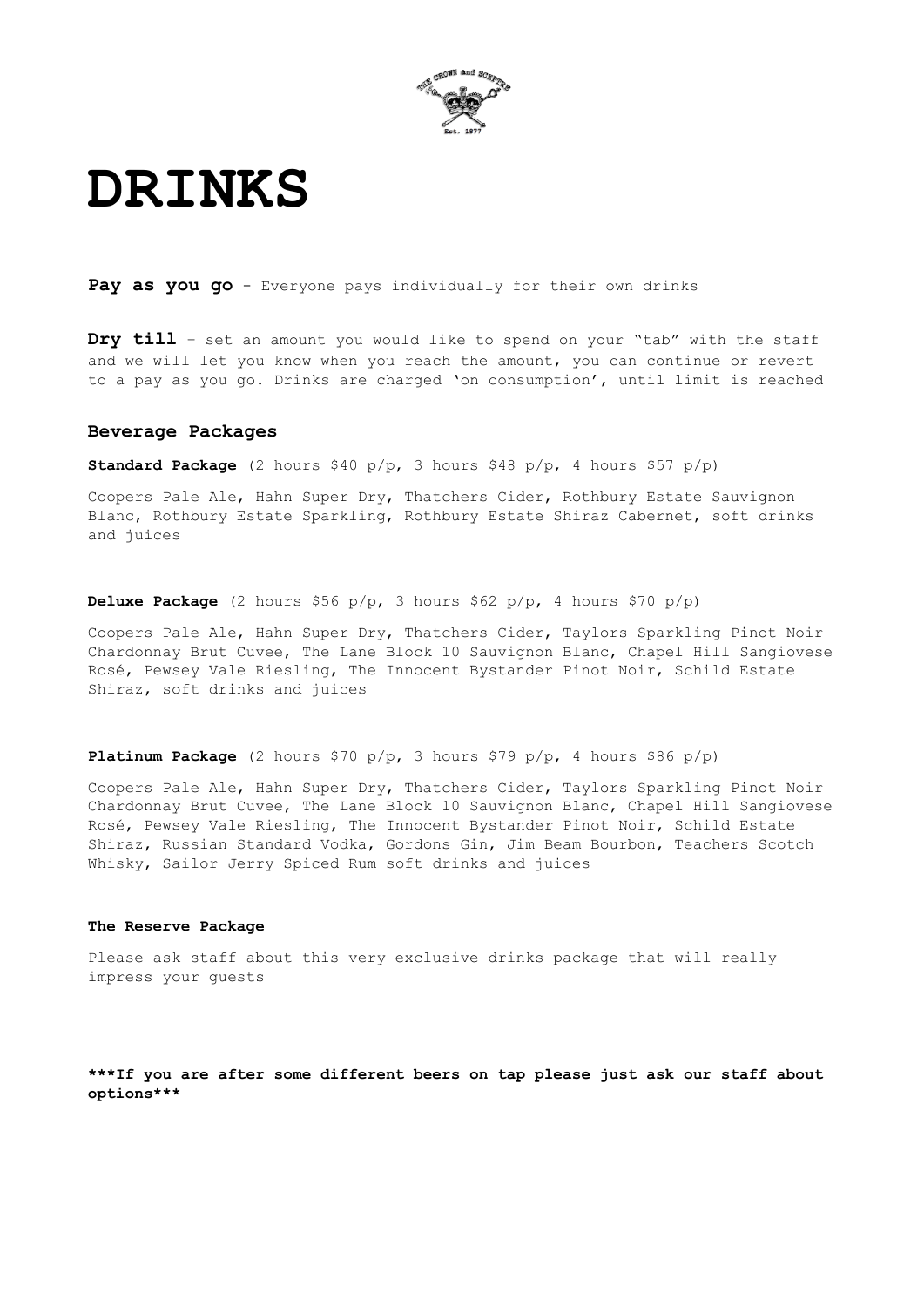

## **DRINKS**

**Pay as you go** - Everyone pays individually for their own drinks

**Dry till** – set an amount you would like to spend on your "tab" with the staff and we will let you know when you reach the amount, you can continue or revert to a pay as you go. Drinks are charged 'on consumption', until limit is reached

#### **Beverage Packages**

**Standard Package** (2 hours \$40 p/p, 3 hours \$48 p/p, 4 hours \$57 p/p)

Coopers Pale Ale, Hahn Super Dry, Thatchers Cider, Rothbury Estate Sauvignon Blanc, Rothbury Estate Sparkling, Rothbury Estate Shiraz Cabernet, soft drinks and juices

**Deluxe Package** (2 hours \$56 p/p, 3 hours \$62 p/p, 4 hours \$70 p/p)

Coopers Pale Ale, Hahn Super Dry, Thatchers Cider, Taylors Sparkling Pinot Noir Chardonnay Brut Cuvee, The Lane Block 10 Sauvignon Blanc, Chapel Hill Sangiovese Rosé, Pewsey Vale Riesling, The Innocent Bystander Pinot Noir, Schild Estate Shiraz, soft drinks and juices

**Platinum Package** (2 hours \$70 p/p, 3 hours \$79 p/p, 4 hours \$86 p/p)

Coopers Pale Ale, Hahn Super Dry, Thatchers Cider, Taylors Sparkling Pinot Noir Chardonnay Brut Cuvee, The Lane Block 10 Sauvignon Blanc, Chapel Hill Sangiovese Rosé, Pewsey Vale Riesling, The Innocent Bystander Pinot Noir, Schild Estate Shiraz, Russian Standard Vodka, Gordons Gin, Jim Beam Bourbon, Teachers Scotch Whisky, Sailor Jerry Spiced Rum soft drinks and juices

#### **The Reserve Package**

Please ask staff about this very exclusive drinks package that will really impress your guests

**\*\*\*If you are after some different beers on tap please just ask our staff about options\*\*\***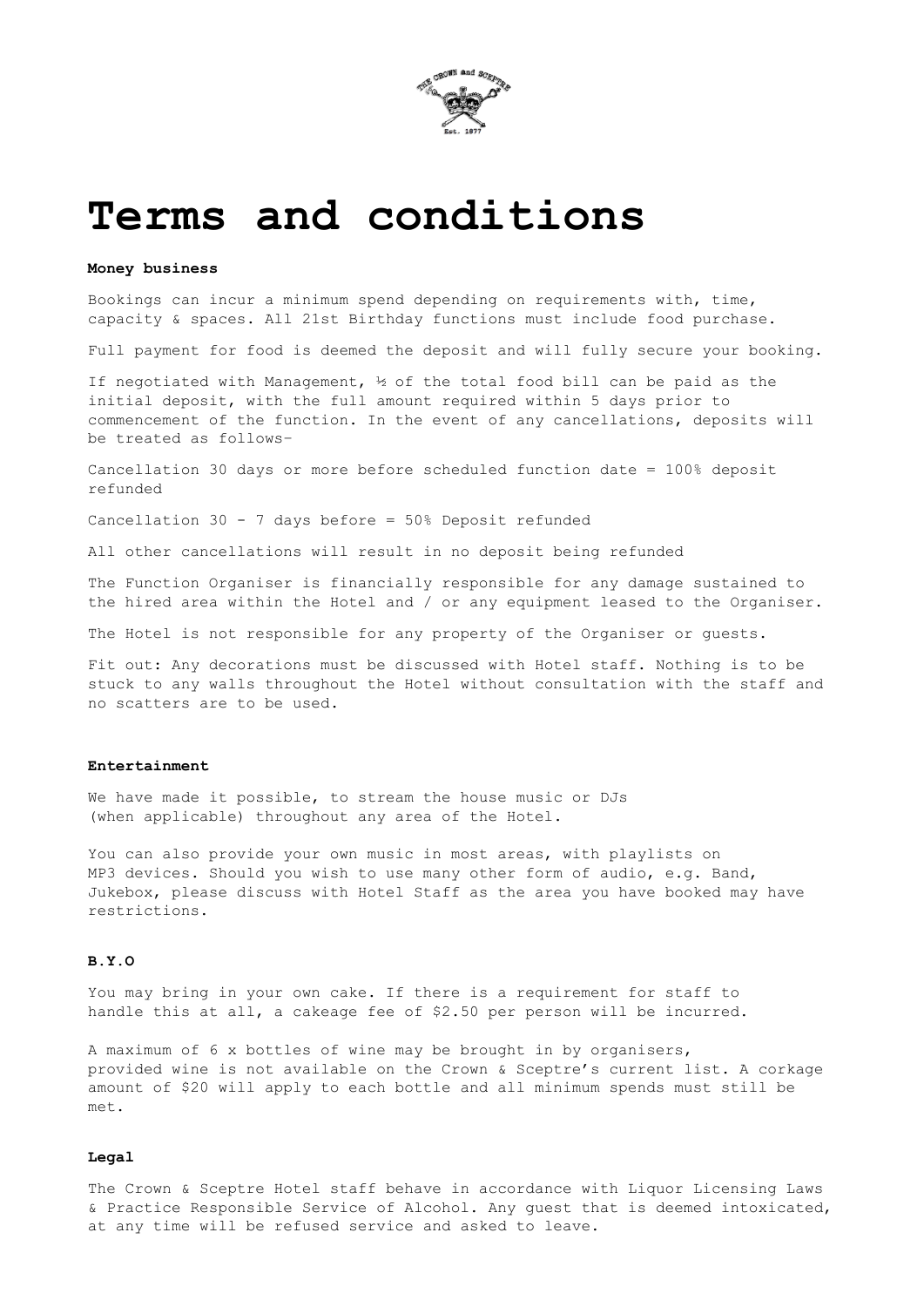

### **Terms and conditions**

#### **Money business**

Bookings can incur a minimum spend depending on requirements with, time, capacity & spaces. All 21st Birthday functions must include food purchase.

Full payment for food is deemed the deposit and will fully secure your booking.

If negotiated with Management, ½ of the total food bill can be paid as the initial deposit, with the full amount required within 5 days prior to commencement of the function. In the event of any cancellations, deposits will be treated as follows–

Cancellation 30 days or more before scheduled function date = 100% deposit refunded

Cancellation 30 - 7 days before = 50% Deposit refunded

All other cancellations will result in no deposit being refunded

The Function Organiser is financially responsible for any damage sustained to the hired area within the Hotel and / or any equipment leased to the Organiser.

The Hotel is not responsible for any property of the Organiser or guests.

Fit out: Any decorations must be discussed with Hotel staff. Nothing is to be stuck to any walls throughout the Hotel without consultation with the staff and no scatters are to be used.

#### **Entertainment**

We have made it possible, to stream the house music or DJs (when applicable) throughout any area of the Hotel.

You can also provide your own music in most areas, with playlists on MP3 devices. Should you wish to use many other form of audio, e.g. Band, Jukebox, please discuss with Hotel Staff as the area you have booked may have restrictions.

#### **B.Y.O**

You may bring in your own cake. If there is a requirement for staff to handle this at all, a cakeage fee of \$2.50 per person will be incurred.

A maximum of 6 x bottles of wine may be brought in by organisers, provided wine is not available on the Crown & Sceptre's current list. A corkage amount of \$20 will apply to each bottle and all minimum spends must still be met.

#### **Legal**

The Crown & Sceptre Hotel staff behave in accordance with Liquor Licensing Laws & Practice Responsible Service of Alcohol. Any guest that is deemed intoxicated, at any time will be refused service and asked to leave.